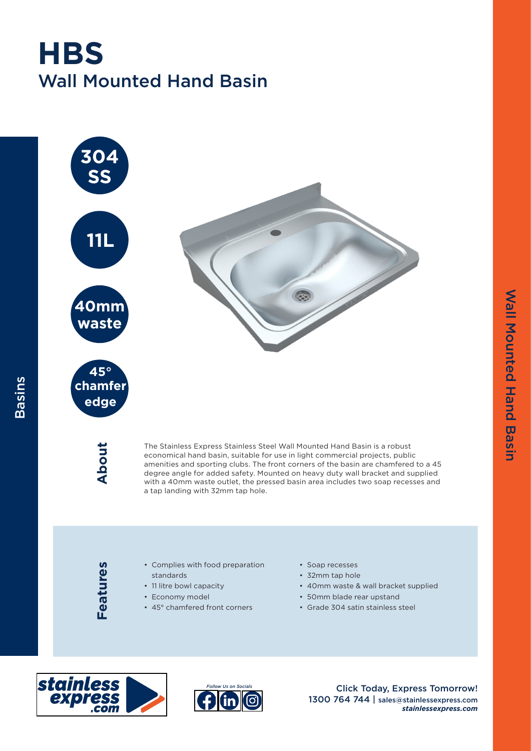## Wall Mounted Hand Basin **HBS**



Features **Features**

Basins

• Complies with food preparation standards

- 11 litre bowl capacity
- Economy model
- 45° chamfered front corners
- Soap recesses
- 32mm tap hole
- 40mm waste & wall bracket supplied
- 50mm blade rear upstand
- Grade 304 satin stainless steel





Click Today, Express Tomorrow! 1300 764 744 | sales@stainlessexpress.com *stainlessexpress.com*